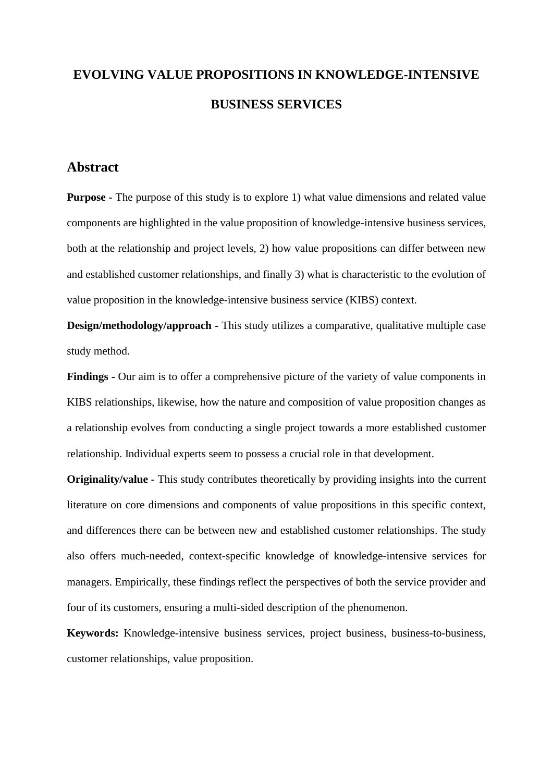# **EVOLVING VALUE PROPOSITIONS IN KNOWLEDGE-INTENSIVE BUSINESS SERVICES**

# **Abstract**

**Purpose -** The purpose of this study is to explore 1) what value dimensions and related value components are highlighted in the value proposition of knowledge-intensive business services, both at the relationship and project levels, 2) how value propositions can differ between new and established customer relationships, and finally 3) what is characteristic to the evolution of value proposition in the knowledge-intensive business service (KIBS) context.

**Design/methodology/approach -** This study utilizes a comparative, qualitative multiple case study method.

**Findings -** Our aim is to offer a comprehensive picture of the variety of value components in KIBS relationships, likewise, how the nature and composition of value proposition changes as a relationship evolves from conducting a single project towards a more established customer relationship. Individual experts seem to possess a crucial role in that development.

**Originality/value -** This study contributes theoretically by providing insights into the current literature on core dimensions and components of value propositions in this specific context, and differences there can be between new and established customer relationships. The study also offers much-needed, context-specific knowledge of knowledge-intensive services for managers. Empirically, these findings reflect the perspectives of both the service provider and four of its customers, ensuring a multi-sided description of the phenomenon.

**Keywords:** Knowledge-intensive business services, project business, business-to-business, customer relationships, value proposition.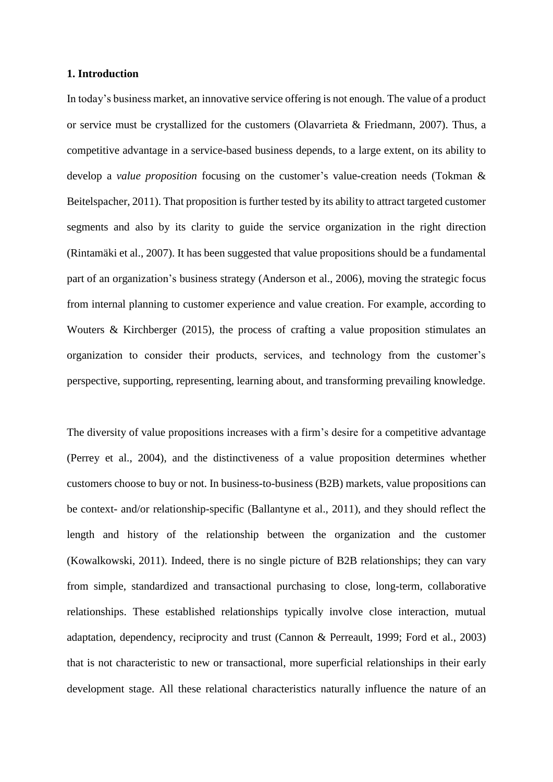# **1. Introduction**

In today's business market, an innovative service offering is not enough. The value of a product or service must be crystallized for the customers (Olavarrieta & Friedmann, 2007). Thus, a competitive advantage in a service-based business depends, to a large extent, on its ability to develop a *value proposition* focusing on the customer's value-creation needs (Tokman & Beitelspacher, 2011). That proposition is further tested by its ability to attract targeted customer segments and also by its clarity to guide the service organization in the right direction (Rintamäki et al., 2007). It has been suggested that value propositions should be a fundamental part of an organization's business strategy (Anderson et al., 2006), moving the strategic focus from internal planning to customer experience and value creation. For example, according to Wouters & Kirchberger (2015), the process of crafting a value proposition stimulates an organization to consider their products, services, and technology from the customer's perspective, supporting, representing, learning about, and transforming prevailing knowledge.

The diversity of value propositions increases with a firm's desire for a competitive advantage (Perrey et al., 2004), and the distinctiveness of a value proposition determines whether customers choose to buy or not. In business-to-business (B2B) markets, value propositions can be context- and/or relationship-specific (Ballantyne et al., 2011), and they should reflect the length and history of the relationship between the organization and the customer (Kowalkowski, 2011). Indeed, there is no single picture of B2B relationships; they can vary from simple, standardized and transactional purchasing to close, long-term, collaborative relationships. These established relationships typically involve close interaction, mutual adaptation, dependency, reciprocity and trust (Cannon & Perreault, 1999; Ford et al., 2003) that is not characteristic to new or transactional, more superficial relationships in their early development stage. All these relational characteristics naturally influence the nature of an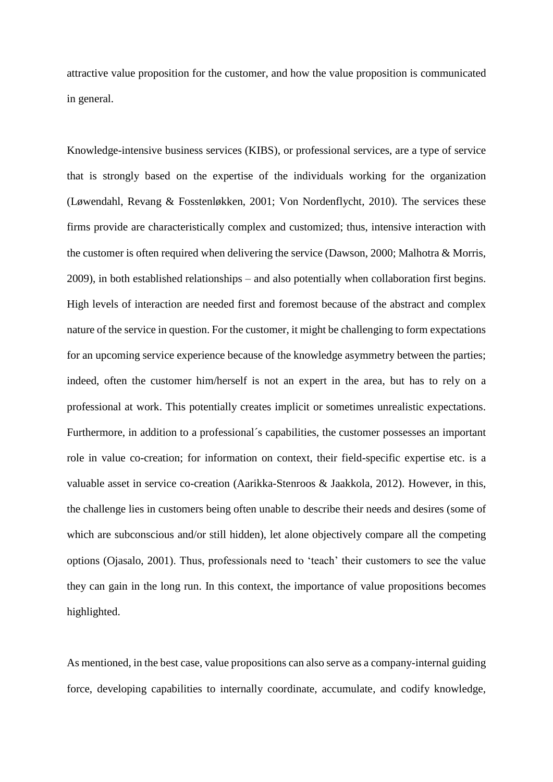attractive value proposition for the customer, and how the value proposition is communicated in general.

Knowledge-intensive business services (KIBS), or professional services, are a type of service that is strongly based on the expertise of the individuals working for the organization (Løwendahl, Revang & Fosstenløkken, 2001; Von Nordenflycht, 2010). The services these firms provide are characteristically complex and customized; thus, intensive interaction with the customer is often required when delivering the service (Dawson, 2000; Malhotra & Morris, 2009), in both established relationships – and also potentially when collaboration first begins. High levels of interaction are needed first and foremost because of the abstract and complex nature of the service in question. For the customer, it might be challenging to form expectations for an upcoming service experience because of the knowledge asymmetry between the parties; indeed, often the customer him/herself is not an expert in the area, but has to rely on a professional at work. This potentially creates implicit or sometimes unrealistic expectations. Furthermore, in addition to a professional´s capabilities, the customer possesses an important role in value co-creation; for information on context, their field-specific expertise etc. is a valuable asset in service co-creation (Aarikka-Stenroos & Jaakkola, 2012). However, in this, the challenge lies in customers being often unable to describe their needs and desires (some of which are subconscious and/or still hidden), let alone objectively compare all the competing options (Ojasalo, 2001). Thus, professionals need to 'teach' their customers to see the value they can gain in the long run. In this context, the importance of value propositions becomes highlighted.

As mentioned, in the best case, value propositions can also serve as a company-internal guiding force, developing capabilities to internally coordinate, accumulate, and codify knowledge,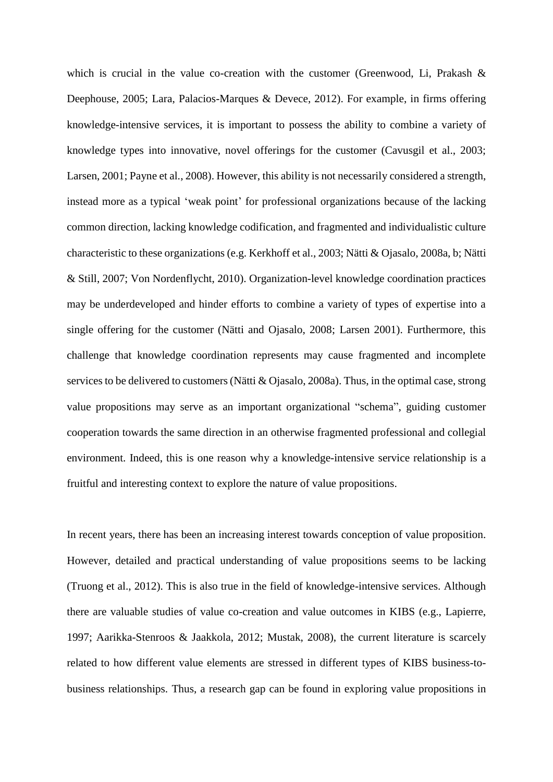which is crucial in the value co-creation with the customer (Greenwood, Li, Prakash  $\&$ Deephouse, 2005; Lara, Palacios-Marques & Devece, 2012). For example, in firms offering knowledge-intensive services, it is important to possess the ability to combine a variety of knowledge types into innovative, novel offerings for the customer (Cavusgil et al., 2003; Larsen, 2001; Payne et al., 2008). However, this ability is not necessarily considered a strength, instead more as a typical 'weak point' for professional organizations because of the lacking common direction, lacking knowledge codification, and fragmented and individualistic culture characteristic to these organizations (e.g. Kerkhoff et al., 2003; Nätti & Ojasalo, 2008a, b; Nätti & Still, 2007; Von Nordenflycht, 2010). Organization-level knowledge coordination practices may be underdeveloped and hinder efforts to combine a variety of types of expertise into a single offering for the customer (Nätti and Ojasalo, 2008; Larsen 2001). Furthermore, this challenge that knowledge coordination represents may cause fragmented and incomplete services to be delivered to customers (Nätti & Ojasalo, 2008a). Thus, in the optimal case, strong value propositions may serve as an important organizational "schema", guiding customer cooperation towards the same direction in an otherwise fragmented professional and collegial environment. Indeed, this is one reason why a knowledge-intensive service relationship is a fruitful and interesting context to explore the nature of value propositions.

In recent years, there has been an increasing interest towards conception of value proposition. However, detailed and practical understanding of value propositions seems to be lacking (Truong et al., 2012). This is also true in the field of knowledge-intensive services. Although there are valuable studies of value co-creation and value outcomes in KIBS (e.g., Lapierre, 1997; Aarikka-Stenroos & Jaakkola, 2012; Mustak, 2008), the current literature is scarcely related to how different value elements are stressed in different types of KIBS business-tobusiness relationships. Thus, a research gap can be found in exploring value propositions in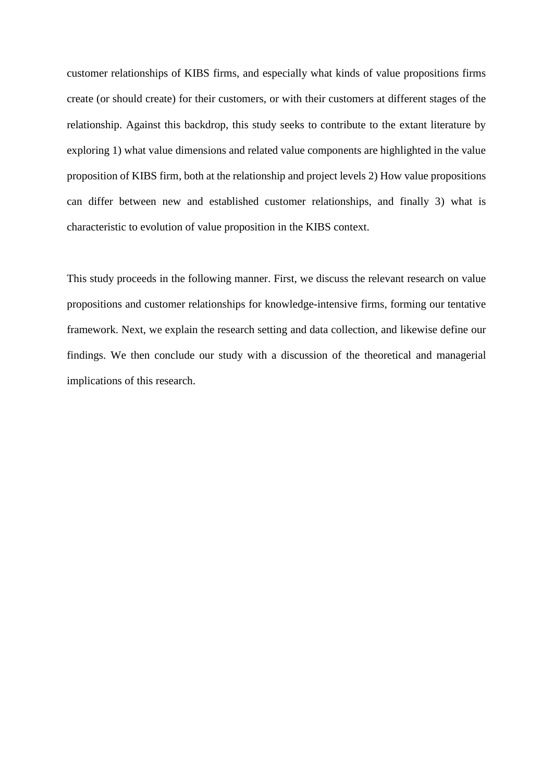customer relationships of KIBS firms, and especially what kinds of value propositions firms create (or should create) for their customers, or with their customers at different stages of the relationship. Against this backdrop, this study seeks to contribute to the extant literature by exploring 1) what value dimensions and related value components are highlighted in the value proposition of KIBS firm, both at the relationship and project levels 2) How value propositions can differ between new and established customer relationships, and finally 3) what is characteristic to evolution of value proposition in the KIBS context.

This study proceeds in the following manner. First, we discuss the relevant research on value propositions and customer relationships for knowledge-intensive firms, forming our tentative framework. Next, we explain the research setting and data collection, and likewise define our findings. We then conclude our study with a discussion of the theoretical and managerial implications of this research.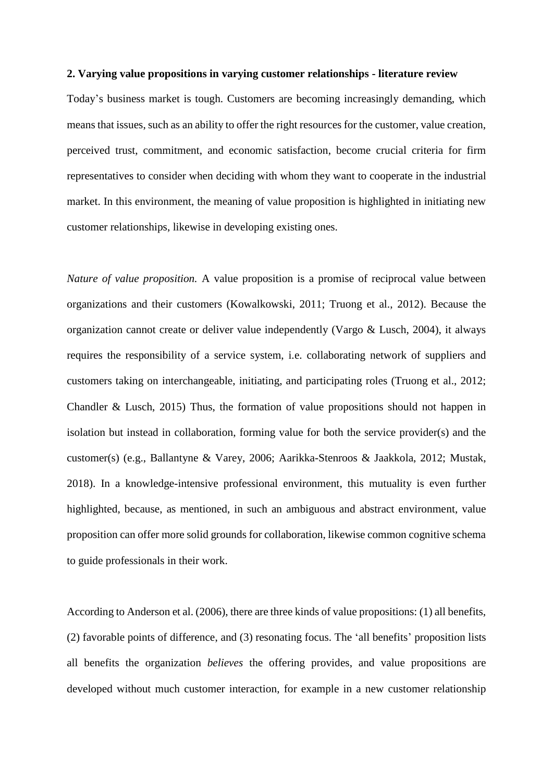#### **2. Varying value propositions in varying customer relationships - literature review**

Today's business market is tough. Customers are becoming increasingly demanding, which means that issues, such as an ability to offer the right resources for the customer, value creation, perceived trust, commitment, and economic satisfaction, become crucial criteria for firm representatives to consider when deciding with whom they want to cooperate in the industrial market. In this environment, the meaning of value proposition is highlighted in initiating new customer relationships, likewise in developing existing ones.

*Nature of value proposition.* A value proposition is a promise of reciprocal value between organizations and their customers (Kowalkowski, 2011; Truong et al., 2012). Because the organization cannot create or deliver value independently (Vargo & Lusch, 2004), it always requires the responsibility of a service system, i.e. collaborating network of suppliers and customers taking on interchangeable, initiating, and participating roles (Truong et al., 2012; Chandler & Lusch, 2015) Thus, the formation of value propositions should not happen in isolation but instead in collaboration, forming value for both the service provider(s) and the customer(s) (e.g., Ballantyne & Varey, 2006; Aarikka-Stenroos & Jaakkola, 2012; Mustak, 2018). In a knowledge-intensive professional environment, this mutuality is even further highlighted, because, as mentioned, in such an ambiguous and abstract environment, value proposition can offer more solid grounds for collaboration, likewise common cognitive schema to guide professionals in their work.

According to Anderson et al. (2006), there are three kinds of value propositions: (1) all benefits, (2) favorable points of difference, and (3) resonating focus. The 'all benefits' proposition lists all benefits the organization *believes* the offering provides, and value propositions are developed without much customer interaction, for example in a new customer relationship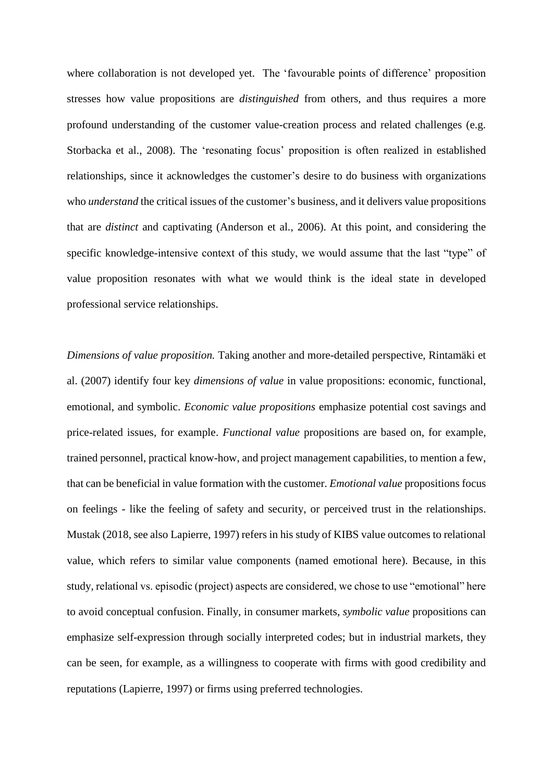where collaboration is not developed yet. The 'favourable points of difference' proposition stresses how value propositions are *distinguished* from others, and thus requires a more profound understanding of the customer value-creation process and related challenges (e.g. Storbacka et al., 2008). The 'resonating focus' proposition is often realized in established relationships, since it acknowledges the customer's desire to do business with organizations who *understand* the critical issues of the customer's business, and it delivers value propositions that are *distinct* and captivating (Anderson et al., 2006). At this point, and considering the specific knowledge-intensive context of this study, we would assume that the last "type" of value proposition resonates with what we would think is the ideal state in developed professional service relationships.

*Dimensions of value proposition.* Taking another and more-detailed perspective, Rintamäki et al. (2007) identify four key *dimensions of value* in value propositions: economic, functional, emotional, and symbolic. *Economic value propositions* emphasize potential cost savings and price-related issues, for example. *Functional value* propositions are based on, for example, trained personnel, practical know-how, and project management capabilities, to mention a few, that can be beneficial in value formation with the customer. *Emotional value* propositions focus on feelings - like the feeling of safety and security, or perceived trust in the relationships. Mustak (2018, see also Lapierre, 1997) refers in his study of KIBS value outcomes to relational value, which refers to similar value components (named emotional here). Because, in this study, relational vs. episodic (project) aspects are considered, we chose to use "emotional" here to avoid conceptual confusion. Finally, in consumer markets, *symbolic value* propositions can emphasize self-expression through socially interpreted codes; but in industrial markets, they can be seen, for example, as a willingness to cooperate with firms with good credibility and reputations (Lapierre, 1997) or firms using preferred technologies.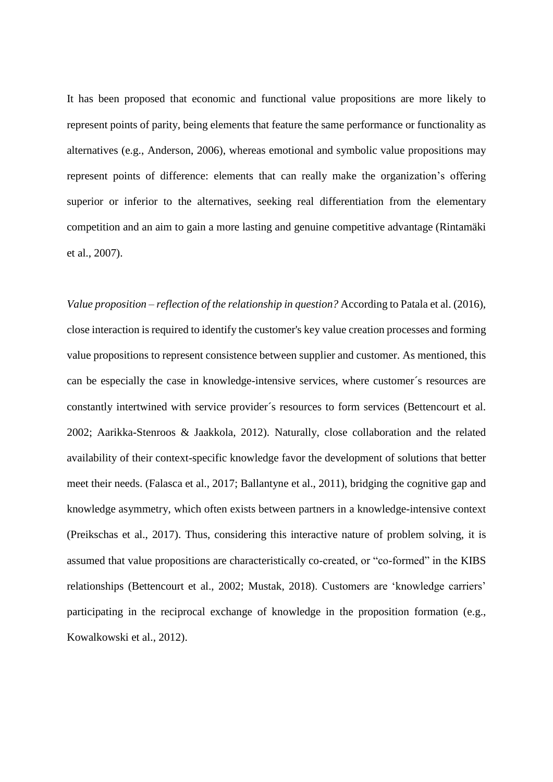It has been proposed that economic and functional value propositions are more likely to represent points of parity, being elements that feature the same performance or functionality as alternatives (e.g., Anderson, 2006), whereas emotional and symbolic value propositions may represent points of difference: elements that can really make the organization's offering superior or inferior to the alternatives, seeking real differentiation from the elementary competition and an aim to gain a more lasting and genuine competitive advantage (Rintamäki et al., 2007).

*Value proposition – reflection of the relationship in question?* According to Patala et al. (2016), close interaction is required to identify the customer's key value creation processes and forming value propositions to represent consistence between supplier and customer. As mentioned, this can be especially the case in knowledge-intensive services, where customer´s resources are constantly intertwined with service provider´s resources to form services (Bettencourt et al. 2002; Aarikka-Stenroos & Jaakkola, 2012). Naturally, close collaboration and the related availability of their context-specific knowledge favor the development of solutions that better meet their needs. (Falasca et al., 2017; Ballantyne et al., 2011), bridging the cognitive gap and knowledge asymmetry, which often exists between partners in a knowledge-intensive context (Preikschas et al., 2017). Thus, considering this interactive nature of problem solving, it is assumed that value propositions are characteristically co-created, or "co-formed" in the KIBS relationships (Bettencourt et al., 2002; Mustak, 2018). Customers are 'knowledge carriers' participating in the reciprocal exchange of knowledge in the proposition formation (e.g., Kowalkowski et al., 2012).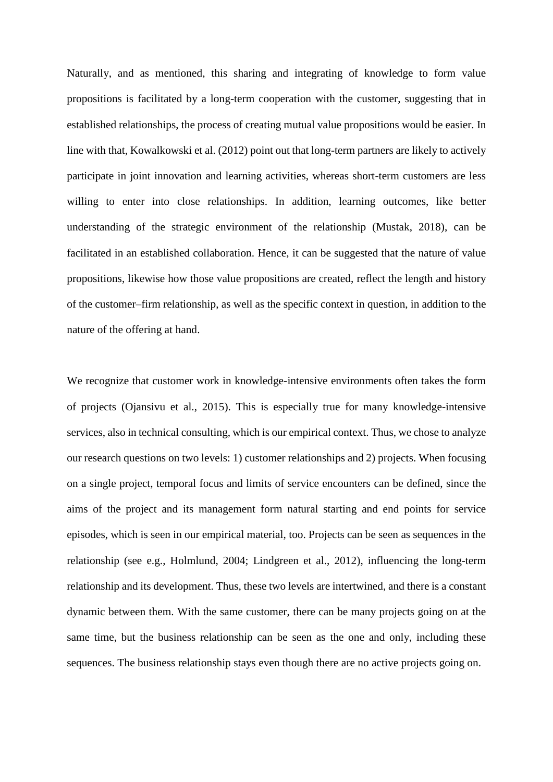Naturally, and as mentioned, this sharing and integrating of knowledge to form value propositions is facilitated by a long-term cooperation with the customer, suggesting that in established relationships, the process of creating mutual value propositions would be easier. In line with that, Kowalkowski et al. (2012) point out that long-term partners are likely to actively participate in joint innovation and learning activities, whereas short-term customers are less willing to enter into close relationships. In addition, learning outcomes, like better understanding of the strategic environment of the relationship (Mustak, 2018), can be facilitated in an established collaboration. Hence, it can be suggested that the nature of value propositions, likewise how those value propositions are created, reflect the length and history of the customer–firm relationship, as well as the specific context in question, in addition to the nature of the offering at hand.

We recognize that customer work in knowledge-intensive environments often takes the form of projects (Ojansivu et al., 2015). This is especially true for many knowledge-intensive services, also in technical consulting, which is our empirical context. Thus, we chose to analyze our research questions on two levels: 1) customer relationships and 2) projects. When focusing on a single project, temporal focus and limits of service encounters can be defined, since the aims of the project and its management form natural starting and end points for service episodes, which is seen in our empirical material, too. Projects can be seen as sequences in the relationship (see e.g., Holmlund, 2004; Lindgreen et al., 2012), influencing the long-term relationship and its development. Thus, these two levels are intertwined, and there is a constant dynamic between them. With the same customer, there can be many projects going on at the same time, but the business relationship can be seen as the one and only, including these sequences. The business relationship stays even though there are no active projects going on.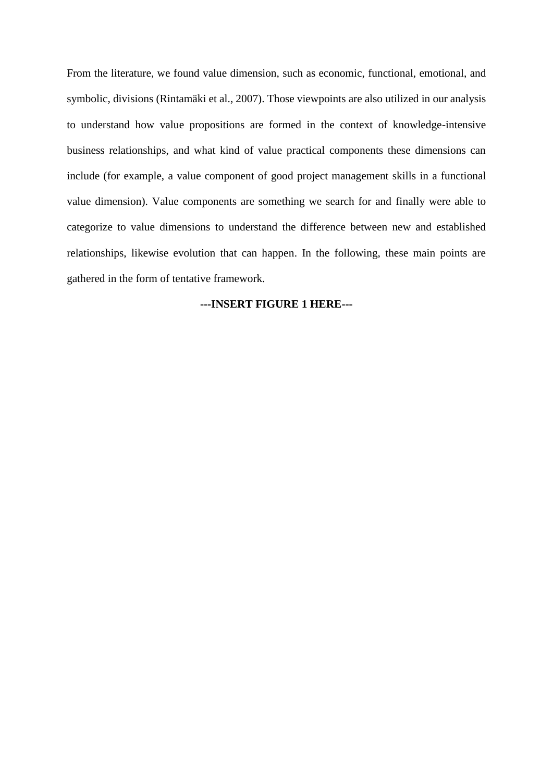From the literature, we found value dimension, such as economic, functional, emotional, and symbolic, divisions (Rintamäki et al., 2007). Those viewpoints are also utilized in our analysis to understand how value propositions are formed in the context of knowledge-intensive business relationships, and what kind of value practical components these dimensions can include (for example, a value component of good project management skills in a functional value dimension). Value components are something we search for and finally were able to categorize to value dimensions to understand the difference between new and established relationships, likewise evolution that can happen. In the following, these main points are gathered in the form of tentative framework.

# **---INSERT FIGURE 1 HERE---**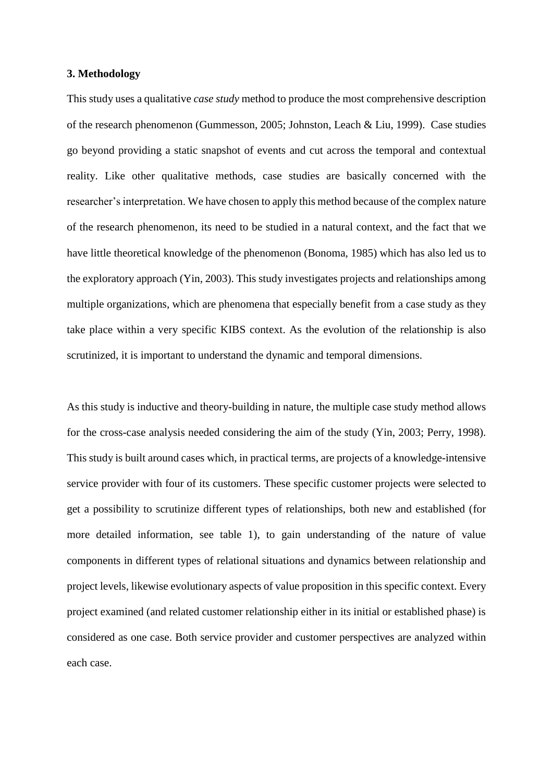# **3. Methodology**

This study uses a qualitative *case study* method to produce the most comprehensive description of the research phenomenon (Gummesson, 2005; Johnston, Leach & Liu, 1999). Case studies go beyond providing a static snapshot of events and cut across the temporal and contextual reality. Like other qualitative methods, case studies are basically concerned with the researcher's interpretation. We have chosen to apply this method because of the complex nature of the research phenomenon, its need to be studied in a natural context, and the fact that we have little theoretical knowledge of the phenomenon (Bonoma, 1985) which has also led us to the exploratory approach (Yin, 2003). This study investigates projects and relationships among multiple organizations, which are phenomena that especially benefit from a case study as they take place within a very specific KIBS context. As the evolution of the relationship is also scrutinized, it is important to understand the dynamic and temporal dimensions.

As this study is inductive and theory-building in nature, the multiple case study method allows for the cross-case analysis needed considering the aim of the study (Yin, 2003; Perry, 1998). This study is built around cases which, in practical terms, are projects of a knowledge-intensive service provider with four of its customers. These specific customer projects were selected to get a possibility to scrutinize different types of relationships, both new and established (for more detailed information, see table 1), to gain understanding of the nature of value components in different types of relational situations and dynamics between relationship and project levels, likewise evolutionary aspects of value proposition in this specific context. Every project examined (and related customer relationship either in its initial or established phase) is considered as one case. Both service provider and customer perspectives are analyzed within each case.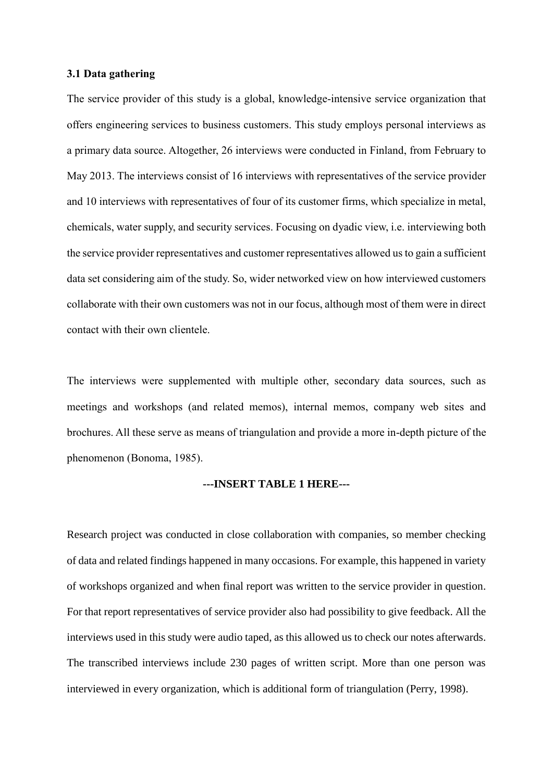# **3.1 Data gathering**

The service provider of this study is a global, knowledge-intensive service organization that offers engineering services to business customers. This study employs personal interviews as a primary data source. Altogether, 26 interviews were conducted in Finland, from February to May 2013. The interviews consist of 16 interviews with representatives of the service provider and 10 interviews with representatives of four of its customer firms, which specialize in metal, chemicals, water supply, and security services. Focusing on dyadic view, i.e. interviewing both the service provider representatives and customer representatives allowed us to gain a sufficient data set considering aim of the study. So, wider networked view on how interviewed customers collaborate with their own customers was not in our focus, although most of them were in direct contact with their own clientele.

The interviews were supplemented with multiple other, secondary data sources, such as meetings and workshops (and related memos), internal memos, company web sites and brochures. All these serve as means of triangulation and provide a more in-depth picture of the phenomenon (Bonoma, 1985).

# **---INSERT TABLE 1 HERE---**

Research project was conducted in close collaboration with companies, so member checking of data and related findings happened in many occasions. For example, this happened in variety of workshops organized and when final report was written to the service provider in question. For that report representatives of service provider also had possibility to give feedback. All the interviews used in this study were audio taped, as this allowed us to check our notes afterwards. The transcribed interviews include 230 pages of written script. More than one person was interviewed in every organization, which is additional form of triangulation (Perry, 1998).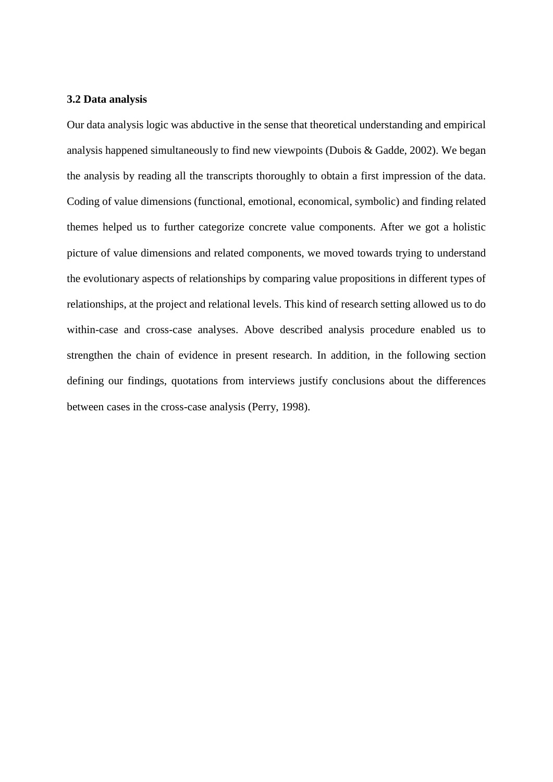#### **3.2 Data analysis**

Our data analysis logic was abductive in the sense that theoretical understanding and empirical analysis happened simultaneously to find new viewpoints (Dubois & Gadde, 2002). We began the analysis by reading all the transcripts thoroughly to obtain a first impression of the data. Coding of value dimensions (functional, emotional, economical, symbolic) and finding related themes helped us to further categorize concrete value components. After we got a holistic picture of value dimensions and related components, we moved towards trying to understand the evolutionary aspects of relationships by comparing value propositions in different types of relationships, at the project and relational levels. This kind of research setting allowed us to do within-case and cross-case analyses. Above described analysis procedure enabled us to strengthen the chain of evidence in present research. In addition, in the following section defining our findings, quotations from interviews justify conclusions about the differences between cases in the cross-case analysis (Perry, 1998).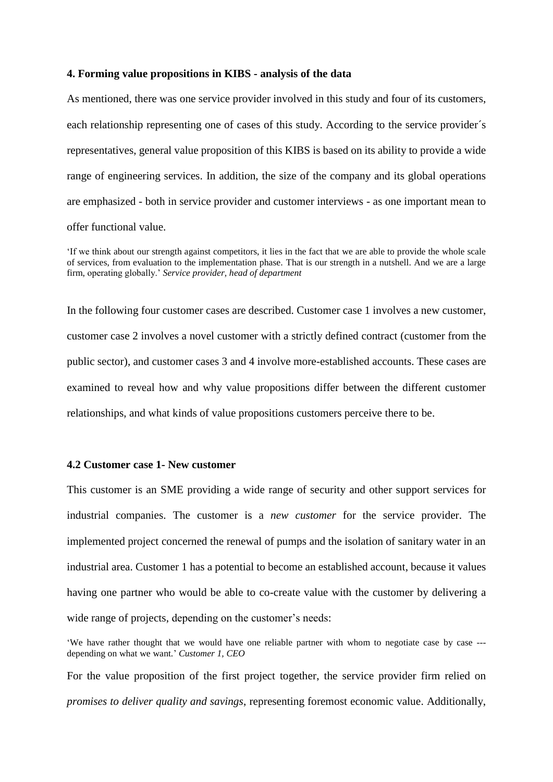#### **4. Forming value propositions in KIBS - analysis of the data**

As mentioned, there was one service provider involved in this study and four of its customers, each relationship representing one of cases of this study. According to the service provider´s representatives, general value proposition of this KIBS is based on its ability to provide a wide range of engineering services. In addition, the size of the company and its global operations are emphasized - both in service provider and customer interviews - as one important mean to offer functional value.

In the following four customer cases are described. Customer case 1 involves a new customer, customer case 2 involves a novel customer with a strictly defined contract (customer from the public sector), and customer cases 3 and 4 involve more-established accounts. These cases are examined to reveal how and why value propositions differ between the different customer relationships, and what kinds of value propositions customers perceive there to be.

#### **4.2 Customer case 1- New customer**

This customer is an SME providing a wide range of security and other support services for industrial companies. The customer is a *new customer* for the service provider. The implemented project concerned the renewal of pumps and the isolation of sanitary water in an industrial area. Customer 1 has a potential to become an established account, because it values having one partner who would be able to co-create value with the customer by delivering a wide range of projects, depending on the customer's needs:

'We have rather thought that we would have one reliable partner with whom to negotiate case by case -- depending on what we want.' *Customer 1, CEO*

For the value proposition of the first project together, the service provider firm relied on *promises to deliver quality and savings*, representing foremost economic value. Additionally,

<sup>&#</sup>x27;If we think about our strength against competitors, it lies in the fact that we are able to provide the whole scale of services, from evaluation to the implementation phase. That is our strength in a nutshell. And we are a large firm, operating globally.' *Service provider, head of department*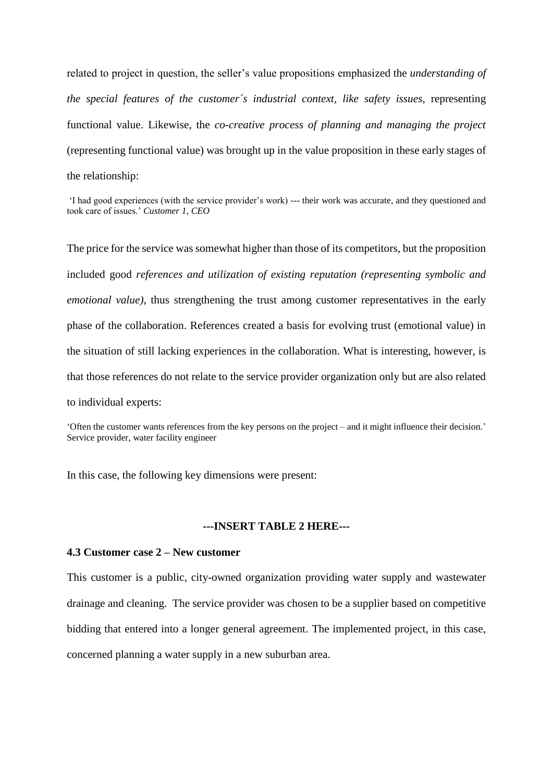related to project in question, the seller's value propositions emphasized the *understanding of the special features of the customer´s industrial context, like safety issues,* representing functional value. Likewise, the *co-creative process of planning and managing the project* (representing functional value) was brought up in the value proposition in these early stages of the relationship:

'I had good experiences (with the service provider's work) --- their work was accurate, and they questioned and took care of issues.' *Customer 1, CEO*

The price for the service was somewhat higher than those of its competitors, but the proposition included good *references and utilization of existing reputation (representing symbolic and emotional value)*, thus strengthening the trust among customer representatives in the early phase of the collaboration. References created a basis for evolving trust (emotional value) in the situation of still lacking experiences in the collaboration. What is interesting, however, is that those references do not relate to the service provider organization only but are also related to individual experts:

'Often the customer wants references from the key persons on the project – and it might influence their decision.' Service provider, water facility engineer

In this case, the following key dimensions were present:

# **---INSERT TABLE 2 HERE---**

#### **4.3 Customer case 2 – New customer**

This customer is a public, city-owned organization providing water supply and wastewater drainage and cleaning. The service provider was chosen to be a supplier based on competitive bidding that entered into a longer general agreement. The implemented project, in this case, concerned planning a water supply in a new suburban area.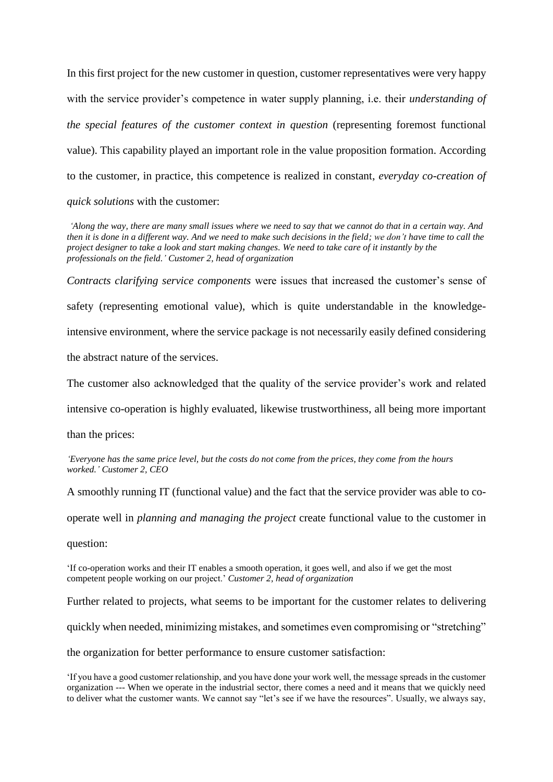In this first project for the new customer in question, customer representatives were very happy with the service provider's competence in water supply planning, i.e. their *understanding of the special features of the customer context in question* (representing foremost functional value). This capability played an important role in the value proposition formation. According to the customer, in practice, this competence is realized in constant, *everyday co-creation of quick solutions* with the customer:

*'Along the way, there are many small issues where we need to say that we cannot do that in a certain way. And then it is done in a different way. And we need to make such decisions in the field; we don't have time to call the project designer to take a look and start making changes. We need to take care of it instantly by the professionals on the field.' Customer 2, head of organization*

*Contracts clarifying service components* were issues that increased the customer's sense of safety (representing emotional value), which is quite understandable in the knowledgeintensive environment, where the service package is not necessarily easily defined considering the abstract nature of the services.

The customer also acknowledged that the quality of the service provider's work and related

intensive co-operation is highly evaluated, likewise trustworthiness, all being more important

than the prices:

*'Everyone has the same price level, but the costs do not come from the prices, they come from the hours worked.' Customer 2, CEO*

A smoothly running IT (functional value) and the fact that the service provider was able to co-

operate well in *planning and managing the project* create functional value to the customer in

question:

'If co-operation works and their IT enables a smooth operation, it goes well, and also if we get the most competent people working on our project.' *Customer 2, head of organization*

Further related to projects, what seems to be important for the customer relates to delivering

quickly when needed, minimizing mistakes, and sometimes even compromising or "stretching"

the organization for better performance to ensure customer satisfaction:

<sup>&#</sup>x27;If you have a good customer relationship, and you have done your work well, the message spreads in the customer organization --- When we operate in the industrial sector, there comes a need and it means that we quickly need to deliver what the customer wants. We cannot say "let's see if we have the resources". Usually, we always say,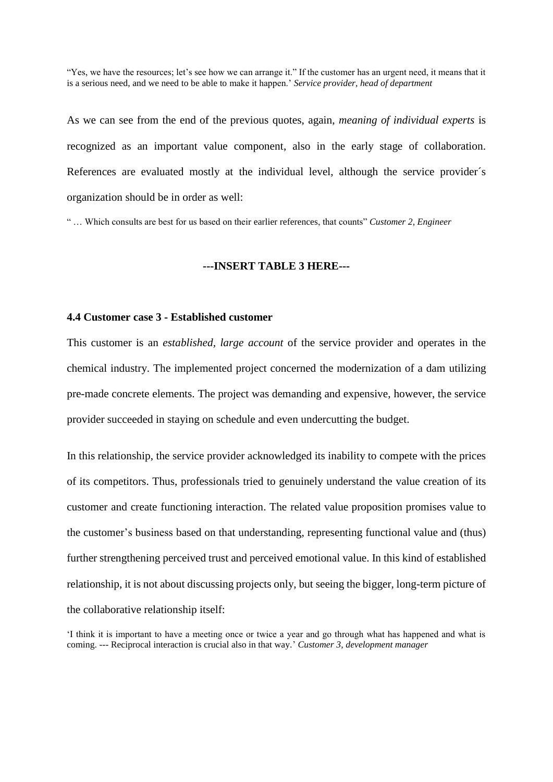"Yes, we have the resources; let's see how we can arrange it." If the customer has an urgent need, it means that it is a serious need, and we need to be able to make it happen.' *Service provider, head of department*

As we can see from the end of the previous quotes, again, *meaning of individual experts* is recognized as an important value component, also in the early stage of collaboration. References are evaluated mostly at the individual level, although the service provider´s organization should be in order as well:

" … Which consults are best for us based on their earlier references, that counts" *Customer 2, Engineer*

### **---INSERT TABLE 3 HERE---**

# **4.4 Customer case 3 - Established customer**

This customer is an *established, large account* of the service provider and operates in the chemical industry. The implemented project concerned the modernization of a dam utilizing pre-made concrete elements. The project was demanding and expensive, however, the service provider succeeded in staying on schedule and even undercutting the budget.

In this relationship, the service provider acknowledged its inability to compete with the prices of its competitors. Thus, professionals tried to genuinely understand the value creation of its customer and create functioning interaction. The related value proposition promises value to the customer's business based on that understanding, representing functional value and (thus) further strengthening perceived trust and perceived emotional value. In this kind of established relationship, it is not about discussing projects only, but seeing the bigger, long-term picture of the collaborative relationship itself:

'I think it is important to have a meeting once or twice a year and go through what has happened and what is coming. --- Reciprocal interaction is crucial also in that way*.*' *Customer 3, development manager*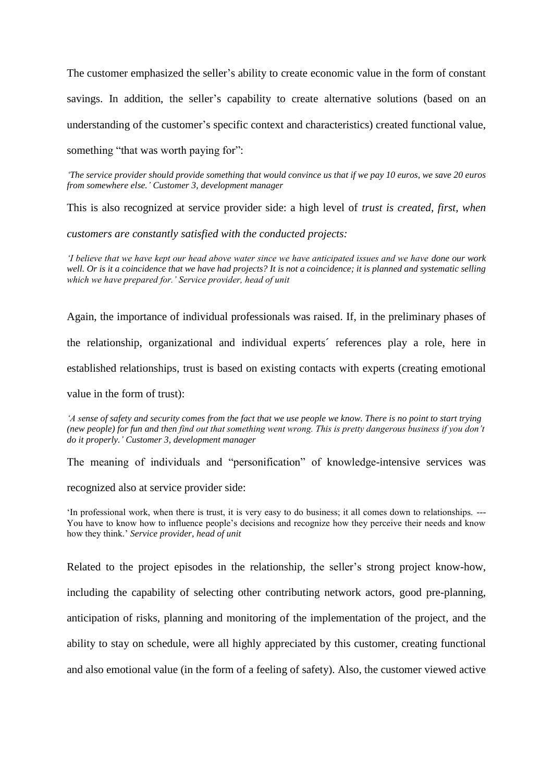The customer emphasized the seller's ability to create economic value in the form of constant savings. In addition, the seller's capability to create alternative solutions (based on an understanding of the customer's specific context and characteristics) created functional value,

something "that was worth paying for":

*'The service provider should provide something that would convince us that if we pay 10 euros, we save 20 euros from somewhere else.' Customer 3, development manager*

This is also recognized at service provider side: a high level of *trust is created, first, when* 

*customers are constantly satisfied with the conducted projects:*

*'I believe that we have kept our head above water since we have anticipated issues and we have done our work well. Or is it a coincidence that we have had projects? It is not a coincidence; it is planned and systematic selling which we have prepared for.' Service provider, head of unit*

Again, the importance of individual professionals was raised. If, in the preliminary phases of the relationship, organizational and individual experts´ references play a role, here in established relationships, trust is based on existing contacts with experts (creating emotional

value in the form of trust):

*'A sense of safety and security comes from the fact that we use people we know. There is no point to start trying (new people) for fun and then find out that something went wrong. This is pretty dangerous business if you don't do it properly.' Customer 3, development manager*

The meaning of individuals and "personification" of knowledge-intensive services was

recognized also at service provider side:

'In professional work, when there is trust, it is very easy to do business; it all comes down to relationships. --- You have to know how to influence people's decisions and recognize how they perceive their needs and know how they think.' *Service provider, head of unit*

Related to the project episodes in the relationship, the seller's strong project know-how, including the capability of selecting other contributing network actors, good pre-planning, anticipation of risks, planning and monitoring of the implementation of the project, and the ability to stay on schedule, were all highly appreciated by this customer, creating functional and also emotional value (in the form of a feeling of safety). Also, the customer viewed active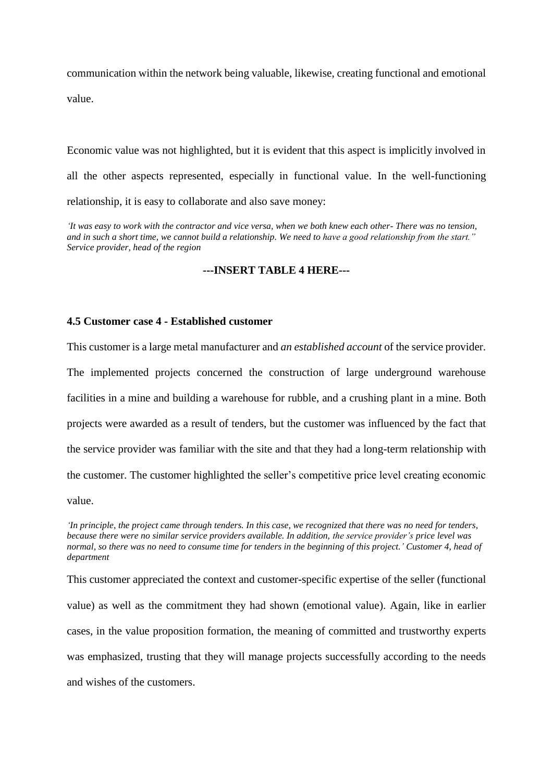communication within the network being valuable, likewise, creating functional and emotional value.

Economic value was not highlighted, but it is evident that this aspect is implicitly involved in all the other aspects represented, especially in functional value. In the well-functioning relationship, it is easy to collaborate and also save money:

*'It was easy to work with the contractor and vice versa, when we both knew each other- There was no tension, and in such a short time, we cannot build a relationship. We need to have a good relationship from the start." Service provider, head of the region*

# **---INSERT TABLE 4 HERE---**

# **4.5 Customer case 4 - Established customer**

This customer is a large metal manufacturer and *an established account* of the service provider. The implemented projects concerned the construction of large underground warehouse facilities in a mine and building a warehouse for rubble, and a crushing plant in a mine. Both projects were awarded as a result of tenders, but the customer was influenced by the fact that the service provider was familiar with the site and that they had a long-term relationship with the customer. The customer highlighted the seller's competitive price level creating economic value.

*'In principle, the project came through tenders. In this case, we recognized that there was no need for tenders, because there were no similar service providers available. In addition, the service provider's price level was normal, so there was no need to consume time for tenders in the beginning of this project.' Customer 4, head of department*

This customer appreciated the context and customer-specific expertise of the seller (functional value) as well as the commitment they had shown (emotional value). Again, like in earlier cases, in the value proposition formation, the meaning of committed and trustworthy experts was emphasized, trusting that they will manage projects successfully according to the needs and wishes of the customers.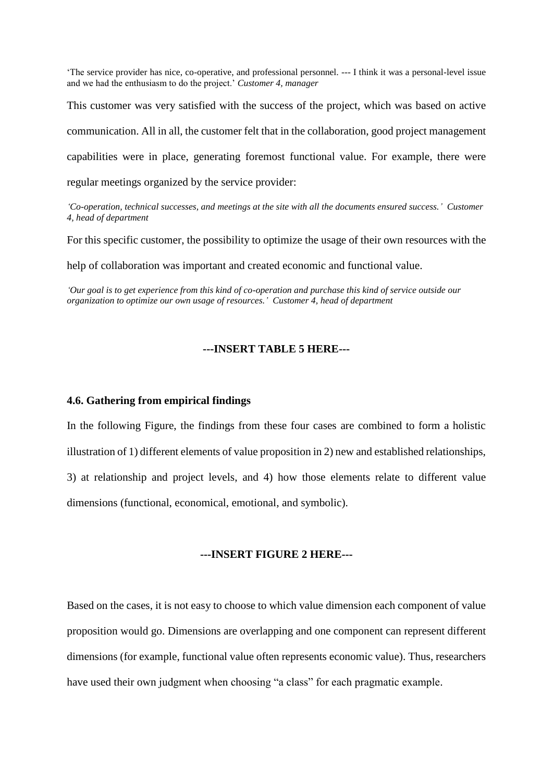'The service provider has nice, co-operative, and professional personnel. --- I think it was a personal-level issue and we had the enthusiasm to do the project.' *Customer 4, manager*

This customer was very satisfied with the success of the project, which was based on active communication. All in all, the customer felt that in the collaboration, good project management capabilities were in place, generating foremost functional value. For example, there were regular meetings organized by the service provider:

*'Co-operation, technical successes, and meetings at the site with all the documents ensured success.' Customer 4, head of department*

For this specific customer, the possibility to optimize the usage of their own resources with the

help of collaboration was important and created economic and functional value.

*'Our goal is to get experience from this kind of co-operation and purchase this kind of service outside our organization to optimize our own usage of resources.' Customer 4, head of department*

# **---INSERT TABLE 5 HERE---**

#### **4.6. Gathering from empirical findings**

In the following Figure, the findings from these four cases are combined to form a holistic illustration of 1) different elements of value proposition in 2) new and established relationships, 3) at relationship and project levels, and 4) how those elements relate to different value dimensions (functional, economical, emotional, and symbolic).

# **---INSERT FIGURE 2 HERE---**

Based on the cases, it is not easy to choose to which value dimension each component of value proposition would go. Dimensions are overlapping and one component can represent different dimensions (for example, functional value often represents economic value). Thus, researchers have used their own judgment when choosing "a class" for each pragmatic example.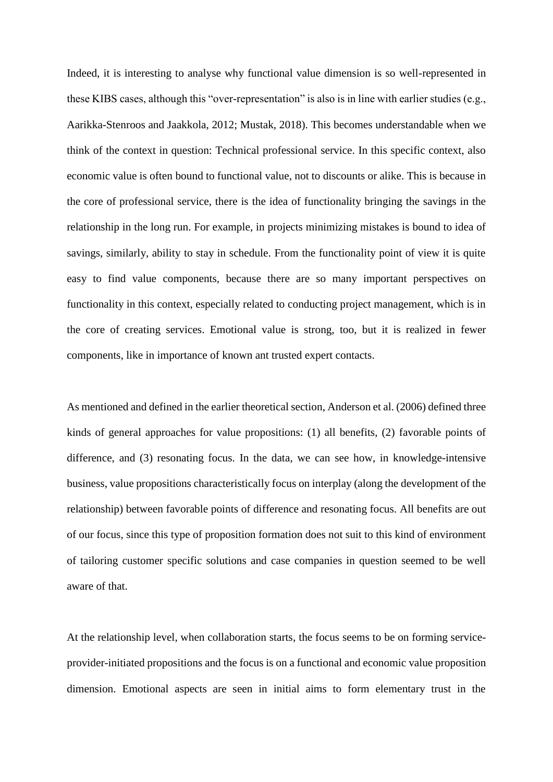Indeed, it is interesting to analyse why functional value dimension is so well-represented in these KIBS cases, although this "over-representation" is also is in line with earlier studies (e.g., Aarikka-Stenroos and Jaakkola, 2012; Mustak, 2018). This becomes understandable when we think of the context in question: Technical professional service. In this specific context, also economic value is often bound to functional value, not to discounts or alike. This is because in the core of professional service, there is the idea of functionality bringing the savings in the relationship in the long run. For example, in projects minimizing mistakes is bound to idea of savings, similarly, ability to stay in schedule. From the functionality point of view it is quite easy to find value components, because there are so many important perspectives on functionality in this context, especially related to conducting project management, which is in the core of creating services. Emotional value is strong, too, but it is realized in fewer components, like in importance of known ant trusted expert contacts.

As mentioned and defined in the earlier theoretical section, Anderson et al. (2006) defined three kinds of general approaches for value propositions: (1) all benefits, (2) favorable points of difference, and (3) resonating focus. In the data, we can see how, in knowledge-intensive business, value propositions characteristically focus on interplay (along the development of the relationship) between favorable points of difference and resonating focus. All benefits are out of our focus, since this type of proposition formation does not suit to this kind of environment of tailoring customer specific solutions and case companies in question seemed to be well aware of that.

At the relationship level, when collaboration starts, the focus seems to be on forming serviceprovider-initiated propositions and the focus is on a functional and economic value proposition dimension. Emotional aspects are seen in initial aims to form elementary trust in the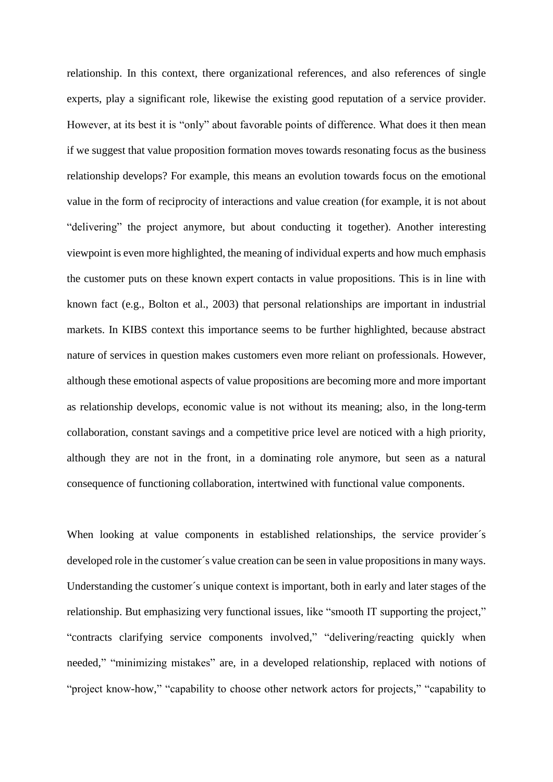relationship. In this context, there organizational references, and also references of single experts, play a significant role, likewise the existing good reputation of a service provider. However, at its best it is "only" about favorable points of difference. What does it then mean if we suggest that value proposition formation moves towards resonating focus as the business relationship develops? For example, this means an evolution towards focus on the emotional value in the form of reciprocity of interactions and value creation (for example, it is not about "delivering" the project anymore, but about conducting it together). Another interesting viewpoint is even more highlighted, the meaning of individual experts and how much emphasis the customer puts on these known expert contacts in value propositions. This is in line with known fact (e.g., Bolton et al., 2003) that personal relationships are important in industrial markets. In KIBS context this importance seems to be further highlighted, because abstract nature of services in question makes customers even more reliant on professionals. However, although these emotional aspects of value propositions are becoming more and more important as relationship develops, economic value is not without its meaning; also, in the long-term collaboration, constant savings and a competitive price level are noticed with a high priority, although they are not in the front, in a dominating role anymore, but seen as a natural consequence of functioning collaboration, intertwined with functional value components.

When looking at value components in established relationships, the service provider's developed role in the customer´s value creation can be seen in value propositions in many ways. Understanding the customer´s unique context is important, both in early and later stages of the relationship. But emphasizing very functional issues, like "smooth IT supporting the project," "contracts clarifying service components involved," "delivering/reacting quickly when needed," "minimizing mistakes" are, in a developed relationship, replaced with notions of "project know-how," "capability to choose other network actors for projects," "capability to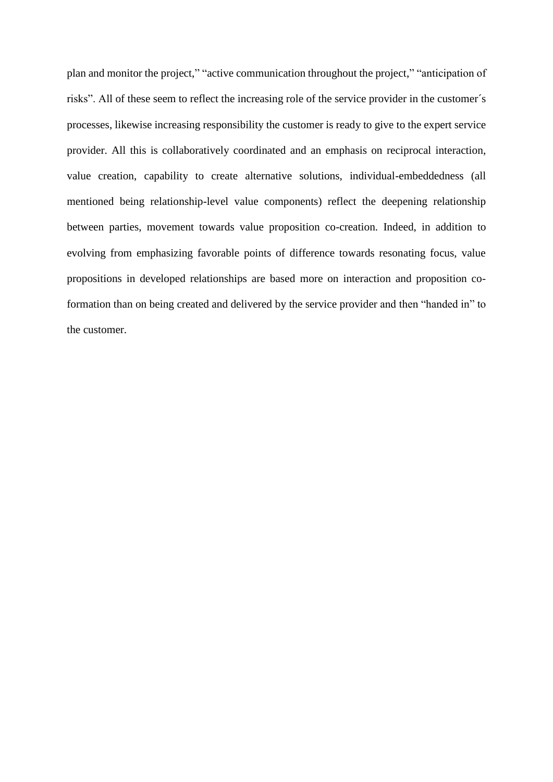plan and monitor the project," "active communication throughout the project," "anticipation of risks". All of these seem to reflect the increasing role of the service provider in the customer´s processes, likewise increasing responsibility the customer is ready to give to the expert service provider. All this is collaboratively coordinated and an emphasis on reciprocal interaction, value creation, capability to create alternative solutions, individual-embeddedness (all mentioned being relationship-level value components) reflect the deepening relationship between parties, movement towards value proposition co-creation. Indeed, in addition to evolving from emphasizing favorable points of difference towards resonating focus, value propositions in developed relationships are based more on interaction and proposition coformation than on being created and delivered by the service provider and then "handed in" to the customer.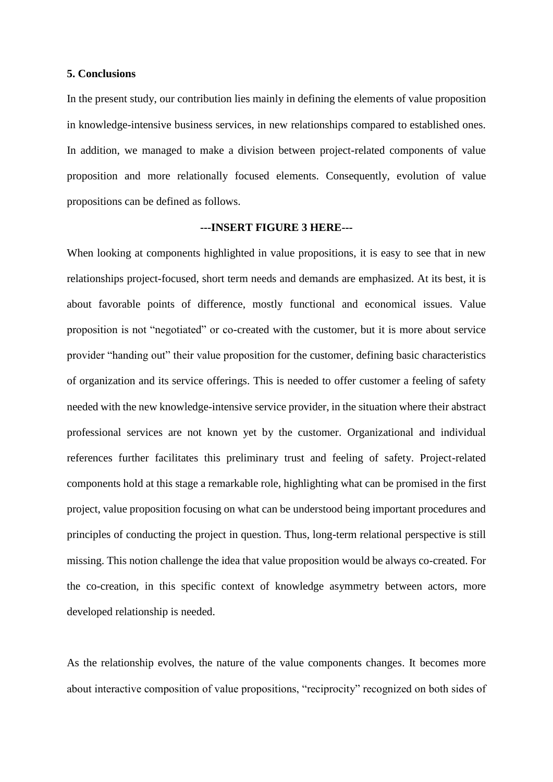#### **5. Conclusions**

In the present study, our contribution lies mainly in defining the elements of value proposition in knowledge-intensive business services, in new relationships compared to established ones. In addition, we managed to make a division between project-related components of value proposition and more relationally focused elements. Consequently, evolution of value propositions can be defined as follows.

#### **---INSERT FIGURE 3 HERE---**

When looking at components highlighted in value propositions, it is easy to see that in new relationships project-focused, short term needs and demands are emphasized. At its best, it is about favorable points of difference, mostly functional and economical issues. Value proposition is not "negotiated" or co-created with the customer, but it is more about service provider "handing out" their value proposition for the customer, defining basic characteristics of organization and its service offerings. This is needed to offer customer a feeling of safety needed with the new knowledge-intensive service provider, in the situation where their abstract professional services are not known yet by the customer. Organizational and individual references further facilitates this preliminary trust and feeling of safety. Project-related components hold at this stage a remarkable role, highlighting what can be promised in the first project, value proposition focusing on what can be understood being important procedures and principles of conducting the project in question. Thus, long-term relational perspective is still missing. This notion challenge the idea that value proposition would be always co-created. For the co-creation, in this specific context of knowledge asymmetry between actors, more developed relationship is needed.

As the relationship evolves, the nature of the value components changes. It becomes more about interactive composition of value propositions, "reciprocity" recognized on both sides of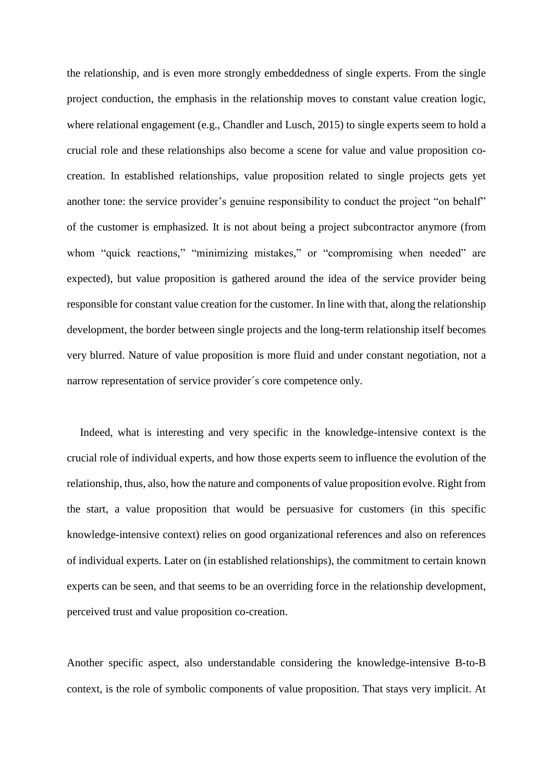the relationship, and is even more strongly embeddedness of single experts. From the single project conduction, the emphasis in the relationship moves to constant value creation logic, where relational engagement (e.g., Chandler and Lusch, 2015) to single experts seem to hold a crucial role and these relationships also become a scene for value and value proposition cocreation. In established relationships, value proposition related to single projects gets yet another tone: the service provider's genuine responsibility to conduct the project "on behalf" of the customer is emphasized. It is not about being a project subcontractor anymore (from whom "quick reactions," "minimizing mistakes," or "compromising when needed" are expected), but value proposition is gathered around the idea of the service provider being responsible for constant value creation for the customer. In line with that, along the relationship development, the border between single projects and the long-term relationship itself becomes very blurred. Nature of value proposition is more fluid and under constant negotiation, not a narrow representation of service provider´s core competence only.

Indeed, what is interesting and very specific in the knowledge-intensive context is the crucial role of individual experts, and how those experts seem to influence the evolution of the relationship, thus, also, how the nature and components of value proposition evolve. Right from the start, a value proposition that would be persuasive for customers (in this specific knowledge-intensive context) relies on good organizational references and also on references of individual experts. Later on (in established relationships), the commitment to certain known experts can be seen, and that seems to be an overriding force in the relationship development, perceived trust and value proposition co-creation.

Another specific aspect, also understandable considering the knowledge-intensive B-to-B context, is the role of symbolic components of value proposition. That stays very implicit. At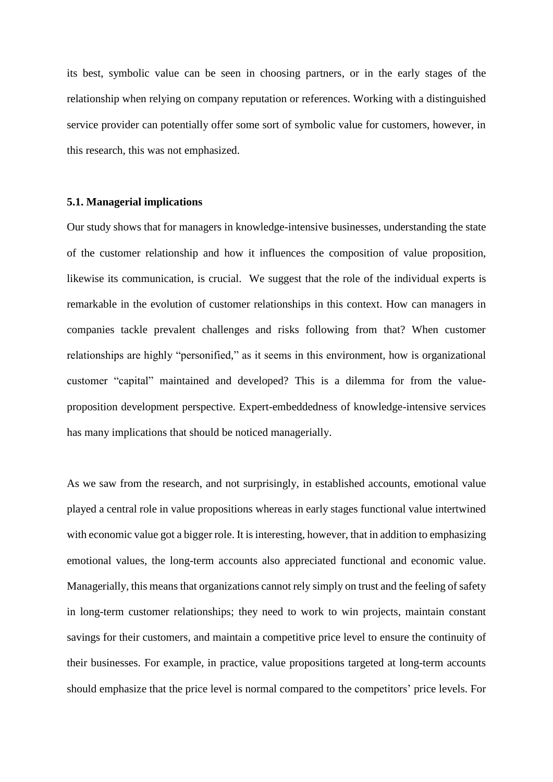its best, symbolic value can be seen in choosing partners, or in the early stages of the relationship when relying on company reputation or references. Working with a distinguished service provider can potentially offer some sort of symbolic value for customers, however, in this research, this was not emphasized.

# **5.1. Managerial implications**

Our study shows that for managers in knowledge-intensive businesses, understanding the state of the customer relationship and how it influences the composition of value proposition, likewise its communication, is crucial. We suggest that the role of the individual experts is remarkable in the evolution of customer relationships in this context. How can managers in companies tackle prevalent challenges and risks following from that? When customer relationships are highly "personified," as it seems in this environment, how is organizational customer "capital" maintained and developed? This is a dilemma for from the valueproposition development perspective. Expert-embeddedness of knowledge-intensive services has many implications that should be noticed managerially.

As we saw from the research, and not surprisingly, in established accounts, emotional value played a central role in value propositions whereas in early stages functional value intertwined with economic value got a bigger role. It is interesting, however, that in addition to emphasizing emotional values, the long-term accounts also appreciated functional and economic value. Managerially, this means that organizations cannot rely simply on trust and the feeling of safety in long-term customer relationships; they need to work to win projects, maintain constant savings for their customers, and maintain a competitive price level to ensure the continuity of their businesses. For example, in practice, value propositions targeted at long-term accounts should emphasize that the price level is normal compared to the competitors' price levels. For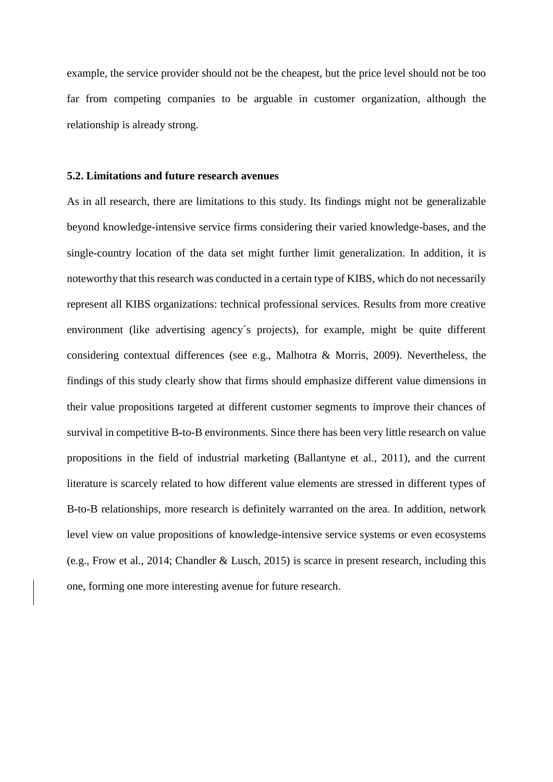example, the service provider should not be the cheapest, but the price level should not be too far from competing companies to be arguable in customer organization, although the relationship is already strong.

# **5.2. Limitations and future research avenues**

As in all research, there are limitations to this study. Its findings might not be generalizable beyond knowledge-intensive service firms considering their varied knowledge-bases, and the single-country location of the data set might further limit generalization. In addition, it is noteworthy that this research was conducted in a certain type of KIBS, which do not necessarily represent all KIBS organizations: technical professional services. Results from more creative environment (like advertising agency´s projects), for example, might be quite different considering contextual differences (see e.g., Malhotra & Morris, 2009). Nevertheless, the findings of this study clearly show that firms should emphasize different value dimensions in their value propositions targeted at different customer segments to improve their chances of survival in competitive B-to-B environments. Since there has been very little research on value propositions in the field of industrial marketing (Ballantyne et al., 2011), and the current literature is scarcely related to how different value elements are stressed in different types of B-to-B relationships, more research is definitely warranted on the area. In addition, network level view on value propositions of knowledge-intensive service systems or even ecosystems (e.g., Frow et al., 2014; Chandler & Lusch, 2015) is scarce in present research, including this one, forming one more interesting avenue for future research.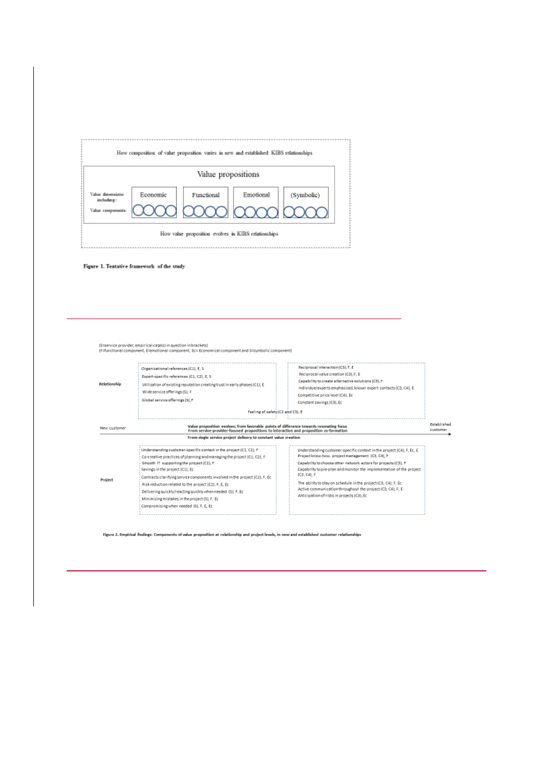|                                                     |                 | How composition of value proposition varies in new and established KIBS relationships |           |  |
|-----------------------------------------------------|-----------------|---------------------------------------------------------------------------------------|-----------|--|
|                                                     |                 | Value propositions                                                                    |           |  |
| Value dinensions<br>including:<br>Value components: | <b>Economic</b> | Functional<br>ΥN                                                                      | Emotional |  |
|                                                     |                 | How value proposition evolves in KIBS relationships                                   |           |  |

Figure 1. Tentative framework of the study

|                                                                                                                                                                                                                                                                                                              | Reciprocal interaction (CS), F, E<br>Reciprocal value creation (C3), F, E<br>Capability to create alternative solutions (C3), P<br>Individual experts emphasized, known expert contacts (CB, C4), E<br>Competitive price level (C4), Ec<br>Constant savings IC31.6c<br>Feeling of safety (C2 and C3), E                                                |                                                                                                                                                                                                                                                                                                                                                                   |
|--------------------------------------------------------------------------------------------------------------------------------------------------------------------------------------------------------------------------------------------------------------------------------------------------------------|--------------------------------------------------------------------------------------------------------------------------------------------------------------------------------------------------------------------------------------------------------------------------------------------------------------------------------------------------------|-------------------------------------------------------------------------------------------------------------------------------------------------------------------------------------------------------------------------------------------------------------------------------------------------------------------------------------------------------------------|
|                                                                                                                                                                                                                                                                                                              |                                                                                                                                                                                                                                                                                                                                                        | Established<br>customer                                                                                                                                                                                                                                                                                                                                           |
|                                                                                                                                                                                                                                                                                                              |                                                                                                                                                                                                                                                                                                                                                        |                                                                                                                                                                                                                                                                                                                                                                   |
| Understanding customer-specific context in the project (C1, C2), P.<br>Co-creative practices of planning and managing the project (C1, C2), F<br>Smooth IT supporting the project (C2), P<br>Savings in the project (C1). Ec<br>Contracts clarifying service components involved in the project IC21, F, Ec. | Understanding customer-specific context in the project (C4), F. Ec. E.<br>Project know-how, project management (C3, C4), F<br>Capability to choose other network actors for projects (CS), P<br>Capability to pre-plan and monitor the implementation of the project<br>(C3, C4), F<br>The ability to stay on schedule in the project (CB, C4), F, Ec. |                                                                                                                                                                                                                                                                                                                                                                   |
|                                                                                                                                                                                                                                                                                                              | Risk reduction related to the project (C2), F, E, Et<br>Delivering quickly/reacting quickly when needed (S), F, Ec.<br>Minimizing mistakes in the project (S), F, Ec.<br>Compromising when needed 151, F, E, Ec                                                                                                                                        | Value proposition evolves; from favorable points of difference towards resonating focus<br>From service-provider-focused propositions to interaction and proposition co-formation<br>From single service project delivery to constant value creation<br>Active communication throughout the project (CB, C4), F, E<br>Anticipation of risks in projects (C3), Ec. |

Figure 2. Empirical findings: Components of value proposition at relationship and project levels, in new and established customer relationships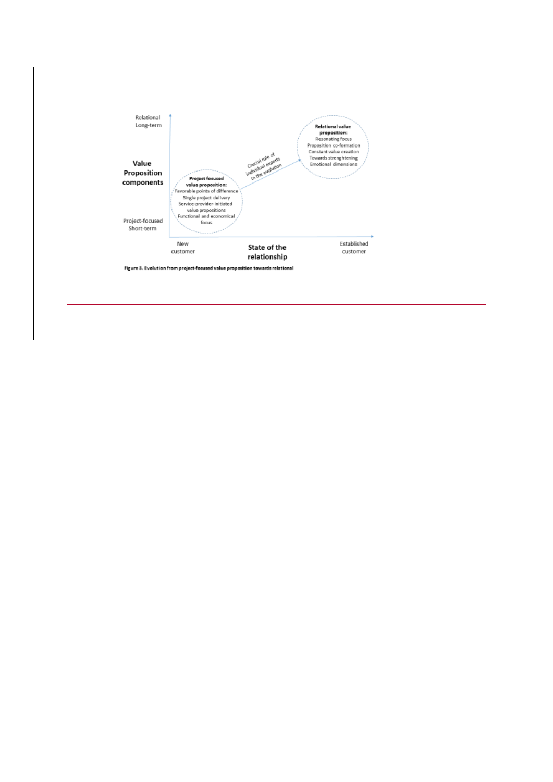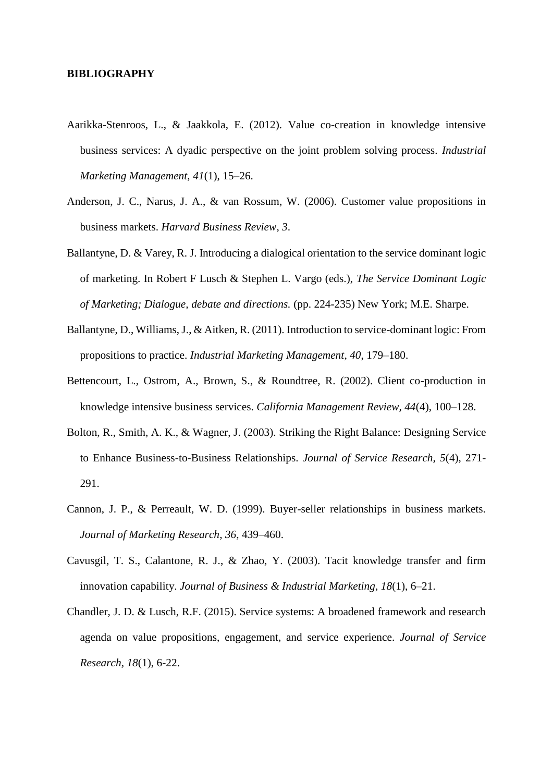# **BIBLIOGRAPHY**

- Aarikka-Stenroos, L., & Jaakkola, E. (2012). Value co-creation in knowledge intensive business services: A dyadic perspective on the joint problem solving process. *Industrial Marketing Management*, *41*(1), 15–26.
- Anderson, J. C., Narus, J. A., & van Rossum, W. (2006). Customer value propositions in business markets. *Harvard Business Review*, *3*.
- Ballantyne, D. & Varey, R. J. Introducing a dialogical orientation to the service dominant logic of marketing. In Robert F Lusch & Stephen L. Vargo (eds.), *The Service Dominant Logic of Marketing; Dialogue, debate and directions.* (pp. 224-235) New York; M.E. Sharpe.
- Ballantyne, D., Williams, J., & Aitken, R. (2011). Introduction to service-dominant logic: From propositions to practice. *Industrial Marketing Management*, *40*, 179–180.
- Bettencourt, L., Ostrom, A., Brown, S., & Roundtree, R. (2002). Client co-production in knowledge intensive business services. *California Management Review, 44*(4), 100–128.
- Bolton, R., Smith, A. K., & Wagner, J. (2003). Striking the Right Balance: Designing Service to Enhance Business-to-Business Relationships. *Journal of Service Research, 5*(4), 271- 291.
- Cannon, J. P., & Perreault, W. D. (1999). Buyer-seller relationships in business markets. *Journal of Marketing Research*, *36*, 439–460.
- Cavusgil, T. S., Calantone, R. J., & Zhao, Y. (2003). Tacit knowledge transfer and firm innovation capability. *Journal of Business & Industrial Marketing*, *18*(1), 6–21.
- Chandler, J. D. & Lusch, R.F. (2015). Service systems: A broadened framework and research agenda on value propositions, engagement, and service experience. *Journal of Service Research, 18*(1), 6-22.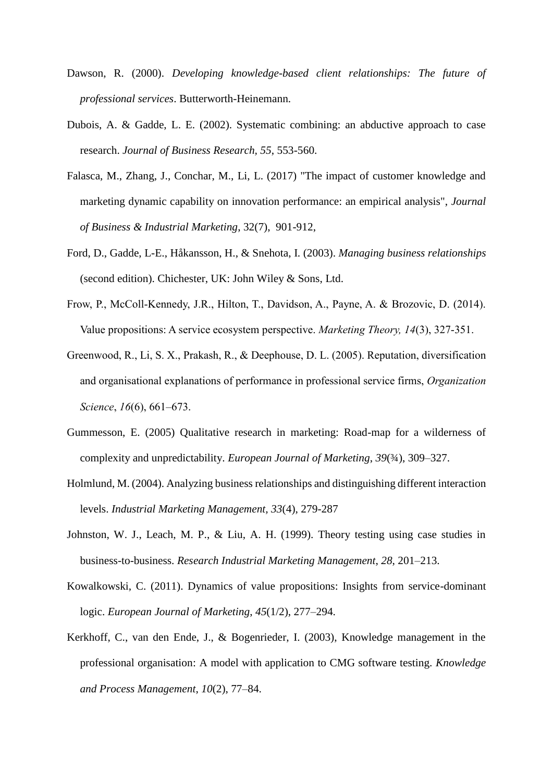- Dawson, R. (2000). *Developing knowledge-based client relationships: The future of professional services*. Butterworth-Heinemann.
- Dubois, A. & Gadde, L. E. (2002). Systematic combining: an abductive approach to case research. *Journal of Business Research, 55*, 553-560.
- Falasca, M., Zhang, J., Conchar, M., Li, L. (2017) "The impact of customer knowledge and marketing dynamic capability on innovation performance: an empirical analysis", *Journal of Business & Industrial Marketing*, 32(7), 901-912,
- Ford, D., Gadde, L-E., Håkansson, H., & Snehota, I. (2003). *Managing business relationships*  (second edition). Chichester, UK: John Wiley & Sons, Ltd.
- Frow, P., McColl-Kennedy, J.R., Hilton, T., Davidson, A., Payne, A. & Brozovic, D. (2014). Value propositions: A service ecosystem perspective. *Marketing Theory, 14*(3), 327-351.
- Greenwood, R., Li, S. X., Prakash, R., & Deephouse, D. L. (2005). Reputation, diversification and organisational explanations of performance in professional service firms, *Organization Science*, *16*(6), 661–673.
- Gummesson, E. (2005) Qualitative research in marketing: Road-map for a wilderness of complexity and unpredictability. *European Journal of Marketing*, *39*(¾), 309–327.
- Holmlund, M. (2004). Analyzing business relationships and distinguishing different interaction levels. *Industrial Marketing Management, 33*(4), 279-287
- Johnston, W. J., Leach, M. P., & Liu, A. H. (1999). Theory testing using case studies in business-to-business. *Research Industrial Marketing Management*, *28*, 201–213.
- Kowalkowski, C. (2011). Dynamics of value propositions: Insights from service-dominant logic. *European Journal of Marketing*, *45*(1/2), 277–294.
- Kerkhoff, C., van den Ende, J., & Bogenrieder, I. (2003), Knowledge management in the professional organisation: A model with application to CMG software testing. *Knowledge and Process Management*, *10*(2), 77–84.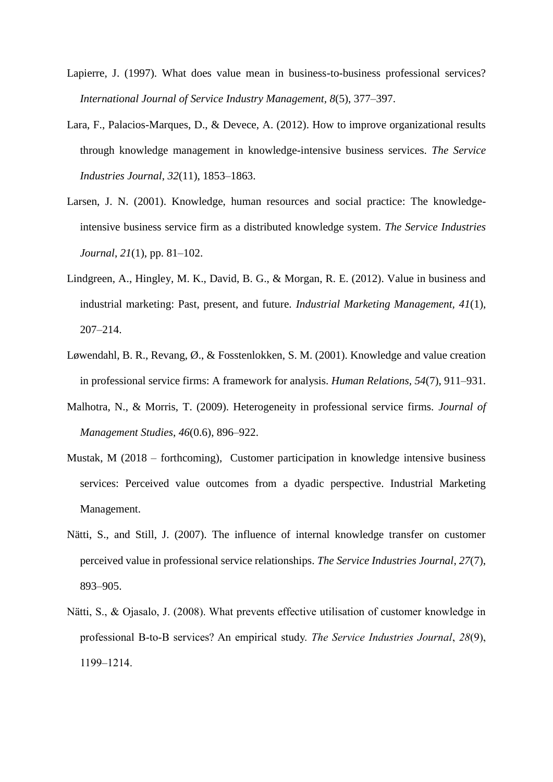- Lapierre, J. (1997). What does value mean in business-to-business professional services? *International Journal of Service Industry Management, 8*(5), 377–397.
- Lara, F., Palacios-Marques, D., & Devece, A. (2012). How to improve organizational results through knowledge management in knowledge-intensive business services. *The Service Industries Journal*, *32*(11), 1853–1863.
- Larsen, J. N. (2001). Knowledge, human resources and social practice: The knowledgeintensive business service firm as a distributed knowledge system. *The Service Industries Journal*, *21*(1), pp. 81–102.
- Lindgreen, A., Hingley, M. K., David, B. G., & Morgan, R. E. (2012). Value in business and industrial marketing: Past, present, and future. *Industrial Marketing Management, 41*(1), 207–214.
- Løwendahl, B. R., Revang, Ø., & Fosstenlokken, S. M. (2001). Knowledge and value creation in professional service firms: A framework for analysis. *Human Relations, 54*(7), 911–931.
- Malhotra, N., & Morris, T. (2009). Heterogeneity in professional service firms. *Journal of Management Studies*, *46*(0.6), 896–922.
- Mustak, M (2018 forthcoming), Customer participation in knowledge intensive business services: Perceived value outcomes from a dyadic perspective. Industrial Marketing Management.
- Nätti, S., and Still, J. (2007). The influence of internal knowledge transfer on customer perceived value in professional service relationships. *The Service Industries Journal*, *27*(7), 893–905.
- Nätti, S., & Ojasalo, J. (2008). What prevents effective utilisation of customer knowledge in professional B-to-B services? An empirical study. *The Service Industries Journal*, *28*(9), 1199–1214.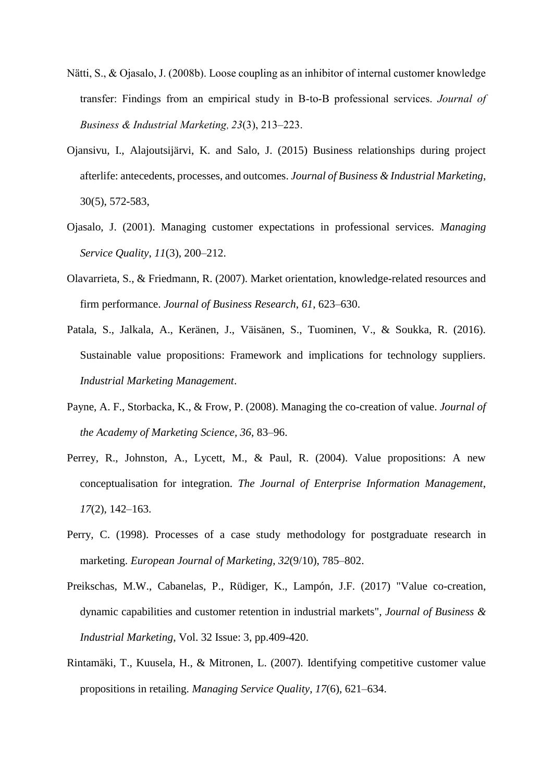- Nätti, S., & Ojasalo, J. (2008b). Loose coupling as an inhibitor of internal customer knowledge transfer: Findings from an empirical study in B-to-B professional services. *Journal of Business & Industrial Marketing*, *23*(3), 213–223.
- Ojansivu, I., Alajoutsijärvi, K. and Salo, J. (2015) Business relationships during project afterlife: antecedents, processes, and outcomes. *Journal of Business & Industrial Marketing*, 30(5), 572-583,
- Ojasalo, J. (2001). Managing customer expectations in professional services. *Managing Service Quality*, *11*(3), 200–212.
- Olavarrieta, S., & Friedmann, R. (2007). Market orientation, knowledge-related resources and firm performance. *Journal of Business Research*, *61*, 623–630.
- Patala, S., Jalkala, A., Keränen, J., Väisänen, S., Tuominen, V., & Soukka, R. (2016). Sustainable value propositions: Framework and implications for technology suppliers. *Industrial Marketing Management*.
- Payne, A. F., Storbacka, K., & Frow, P. (2008). Managing the co-creation of value. *Journal of the Academy of Marketing Science, 36*, 83–96.
- Perrey, R., Johnston, A., Lycett, M., & Paul, R. (2004). Value propositions: A new conceptualisation for integration. *The Journal of Enterprise Information Management*, *17*(2), 142–163.
- Perry, C. (1998). Processes of a case study methodology for postgraduate research in marketing. *European Journal of Marketing*, *32*(9/10), 785–802.
- Preikschas, M.W., Cabanelas, P., Rüdiger, K., Lampón, J.F. (2017) "Value co-creation, dynamic capabilities and customer retention in industrial markets", *Journal of Business & Industrial Marketing*, Vol. 32 Issue: 3, pp.409-420.
- Rintamäki, T., Kuusela, H., & Mitronen, L. (2007). Identifying competitive customer value propositions in retailing. *Managing Service Quality*, *17*(6), 621–634.